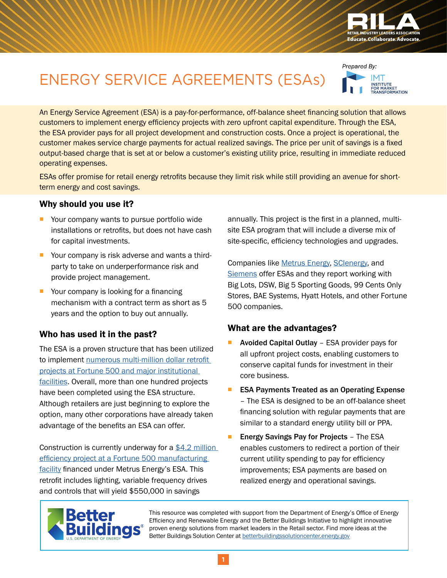

..<br>INSTITUTE<br>FOR MARKET<br>TRANSFORMATION

Prepared By:

# ENERGY SERVICE AGREEMENTS (ESAs)

An Energy Service Agreement (ESA) is a pay-for-performance, off-balance sheet financing solution that allows customers to implement energy efficiency projects with zero upfront capital expenditure. Through the ESA, the ESA provider pays for all project development and construction costs. Once a project is operational, the customer makes service charge payments for actual realized savings. The price per unit of savings is a fixed output-based charge that is set at or below a customer's existing utility price, resulting in immediate reduced operating expenses.

ESAs offer promise for retail energy retrofits because they limit risk while still providing an avenue for shortterm energy and cost savings.

#### Why should you use it?

- Your company wants to pursue portfolio wide installations or retrofits, but does not have cash for capital investments.
- Your company is risk adverse and wants a thirdparty to take on underperformance risk and provide project management.
- Your company is looking for a financing mechanism with a contract term as short as 5 years and the option to buy out annually.

#### Who has used it in the past?

The ESA is a proven structure that has been utilized to implement [numerous multi-million dollar retrofit](https://assets.rockefellerfoundation.org/app/uploads/20120301221532/United-States-Building-Energy-Efficiency-Retrofits.pdf)  [projects at Fortune 500 and major institutional](https://assets.rockefellerfoundation.org/app/uploads/20120301221532/United-States-Building-Energy-Efficiency-Retrofits.pdf)  [facilities](https://assets.rockefellerfoundation.org/app/uploads/20120301221532/United-States-Building-Energy-Efficiency-Retrofits.pdf). Overall, more than one hundred projects have been completed using the ESA structure. Although retailers are just beginning to explore the option, many other corporations have already taken advantage of the benefits an ESA can offer.

Construction is currently underway for a [\\$4.2 million](http://metrusenergy.com/wp-content/uploads/2016/02/Fortune-500-Case-Study_2016.pdf)  [efficiency project at a Fortune 500 manufacturing](http://metrusenergy.com/wp-content/uploads/2016/02/Fortune-500-Case-Study_2016.pdf)  [facility](http://metrusenergy.com/wp-content/uploads/2016/02/Fortune-500-Case-Study_2016.pdf) financed under Metrus Energy's ESA. This retrofit includes lighting, variable frequency drives and controls that will yield \$550,000 in savings

annually. This project is the first in a planned, multisite ESA program that will include a diverse mix of site-specific, efficiency technologies and upgrades.

Companies like [Metrus Energy,](http://metrusenergy.com/) [SCIenergy](http://scienergy.com/), and [Siemens](http://www.energy.siemens.com/hq/en/sustainable-energy/) offer ESAs and they report working with Big Lots, DSW, Big 5 Sporting Goods, 99 Cents Only Stores, BAE Systems, Hyatt Hotels, and other Fortune 500 companies.

#### What are the advantages?

- Avoided Capital Outlay ESA provider pays for all upfront project costs, enabling customers to conserve capital funds for investment in their core business.
- **ESA Payments Treated as an Operating Expense** – The ESA is designed to be an off-balance sheet financing solution with regular payments that are similar to a standard energy utility bill or PPA.
- **Energy Savings Pay for Projects The ESA** enables customers to redirect a portion of their current utility spending to pay for efficiency improvements; ESA payments are based on realized energy and operational savings.



This resource was completed with support from the Department of Energy's Office of Energy Efficiency and Renewable Energy and the Better Buildings Initiative to highlight innovative proven energy solutions from market leaders in the Retail sector. Find more ideas at the Better Buildings Solution Center at [betterbuildingssolutioncenter.energy.gov](http://betterbuildingssolutioncenter.energy.gov)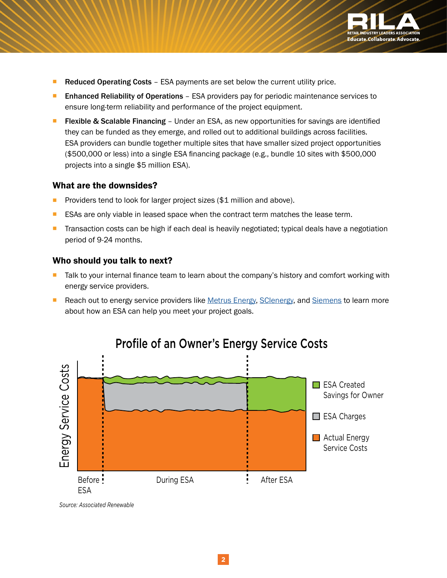

- **Reduced Operating Costs** ESA payments are set below the current utility price.
- **E** Enhanced Reliability of Operations ESA providers pay for periodic maintenance services to ensure long-term reliability and performance of the project equipment.
- **Fiexible & Scalable Financing** Under an ESA, as new opportunities for savings are identified they can be funded as they emerge, and rolled out to additional buildings across facilities. ESA providers can bundle together multiple sites that have smaller sized project opportunities (\$500,000 or less) into a single ESA financing package (e.g., bundle 10 sites with \$500,000 projects into a single \$5 million ESA).

#### What are the downsides?

- Providers tend to look for larger project sizes (\$1 million and above).
- **EXAS are only viable in leased space when the contract term matches the lease term.**
- **Transaction costs can be high if each deal is heavily negotiated; typical deals have a negotiation** period of 9-24 months.

#### Who should you talk to next?

- Talk to your internal finance team to learn about the company's history and comfort working with energy service providers.
- Reach out to energy service providers like [Metrus Energy,](http://metrusenergy.com/) [SCIenergy,](http://scienergy.com/) and [Siemens](http://www.energy.siemens.com/hq/en/sustainable-energy/) to learn more about how an ESA can help you meet your project goals.



### Profile of an Owner's Energy Service Costs

*Source: Associated Renewable*